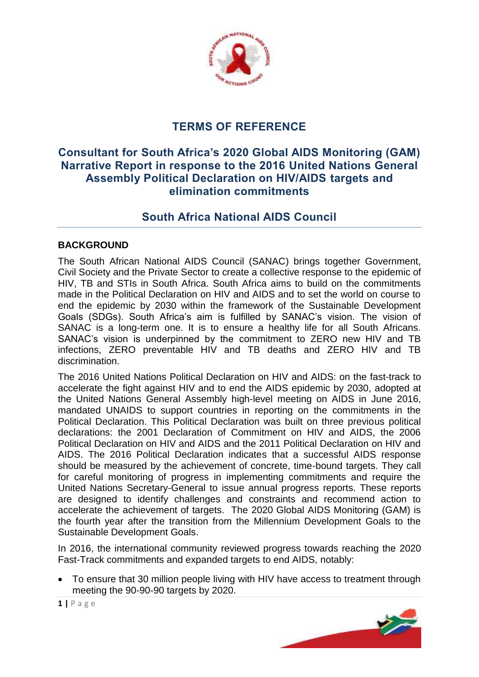

# **TERMS OF REFERENCE**

## **Consultant for South Africa's 2020 Global AIDS Monitoring (GAM) Narrative Report in response to the 2016 United Nations General Assembly Political Declaration on HIV/AIDS targets and elimination commitments**

# **South Africa National AIDS Council**

#### **BACKGROUND**

The South African National AIDS Council (SANAC) brings together Government, Civil Society and the Private Sector to create a collective response to the epidemic of HIV, TB and STIs in South Africa. South Africa aims to build on the commitments made in the Political Declaration on HIV and AIDS and to set the world on course to end the epidemic by 2030 within the framework of the Sustainable Development Goals (SDGs). South Africa's aim is fulfilled by SANAC's vision. The vision of SANAC is a long-term one. It is to ensure a healthy life for all South Africans. SANAC's vision is underpinned by the commitment to ZERO new HIV and TB infections, ZERO preventable HIV and TB deaths and ZERO HIV and TB discrimination.

The 2016 United Nations Political Declaration on HIV and AIDS: on the fast-track to accelerate the fight against HIV and to end the AIDS epidemic by 2030, adopted at the United Nations General Assembly high-level meeting on AIDS in June 2016, mandated UNAIDS to support countries in reporting on the commitments in the Political Declaration. This Political Declaration was built on three previous political declarations: the 2001 Declaration of Commitment on HIV and AIDS, the 2006 Political Declaration on HIV and AIDS and the 2011 Political Declaration on HIV and AIDS. The 2016 Political Declaration indicates that a successful AIDS response should be measured by the achievement of concrete, time-bound targets. They call for careful monitoring of progress in implementing commitments and require the United Nations Secretary-General to issue annual progress reports. These reports are designed to identify challenges and constraints and recommend action to accelerate the achievement of targets. The 2020 Global AIDS Monitoring (GAM) is the fourth year after the transition from the Millennium Development Goals to the Sustainable Development Goals.

In 2016, the international community reviewed progress towards reaching the 2020 Fast-Track commitments and expanded targets to end AIDS, notably:

 To ensure that 30 million people living with HIV have access to treatment through meeting the 90-90-90 targets by 2020.



**1 |** P a g e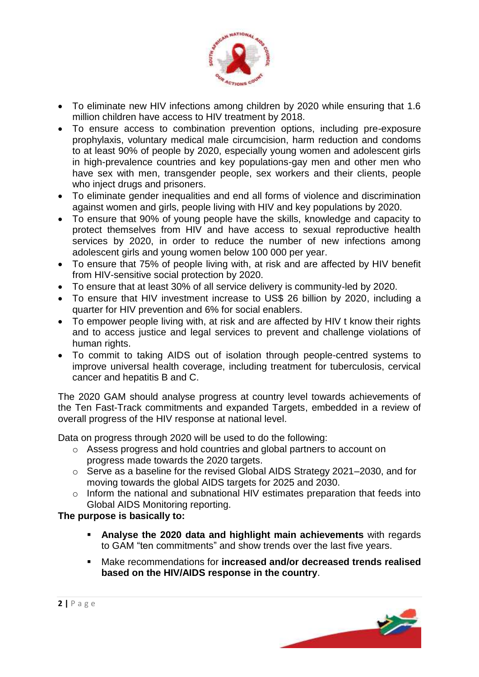

- To eliminate new HIV infections among children by 2020 while ensuring that 1.6 million children have access to HIV treatment by 2018.
- To ensure access to combination prevention options, including pre-exposure prophylaxis, voluntary medical male circumcision, harm reduction and condoms to at least 90% of people by 2020, especially young women and adolescent girls in high-prevalence countries and key populations-gay men and other men who have sex with men, transgender people, sex workers and their clients, people who inject drugs and prisoners.
- To eliminate gender inequalities and end all forms of violence and discrimination against women and girls, people living with HIV and key populations by 2020.
- To ensure that 90% of young people have the skills, knowledge and capacity to protect themselves from HIV and have access to sexual reproductive health services by 2020, in order to reduce the number of new infections among adolescent girls and young women below 100 000 per year.
- To ensure that 75% of people living with, at risk and are affected by HIV benefit from HIV-sensitive social protection by 2020.
- To ensure that at least 30% of all service delivery is community-led by 2020.
- To ensure that HIV investment increase to US\$ 26 billion by 2020, including a quarter for HIV prevention and 6% for social enablers.
- To empower people living with, at risk and are affected by HIV t know their rights and to access justice and legal services to prevent and challenge violations of human rights.
- To commit to taking AIDS out of isolation through people-centred systems to improve universal health coverage, including treatment for tuberculosis, cervical cancer and hepatitis B and C.

The 2020 GAM should analyse progress at country level towards achievements of the Ten Fast-Track commitments and expanded Targets, embedded in a review of overall progress of the HIV response at national level.

Data on progress through 2020 will be used to do the following:

- o Assess progress and hold countries and global partners to account on progress made towards the 2020 targets.
- o Serve as a baseline for the revised Global AIDS Strategy 2021–2030, and for moving towards the global AIDS targets for 2025 and 2030.
- o Inform the national and subnational HIV estimates preparation that feeds into Global AIDS Monitoring reporting.

### **The purpose is basically to:**

- **Analyse the 2020 data and highlight main achievements** with regards to GAM "ten commitments" and show trends over the last five years.
- Make recommendations for **increased and/or decreased trends realised based on the HIV/AIDS response in the country**.

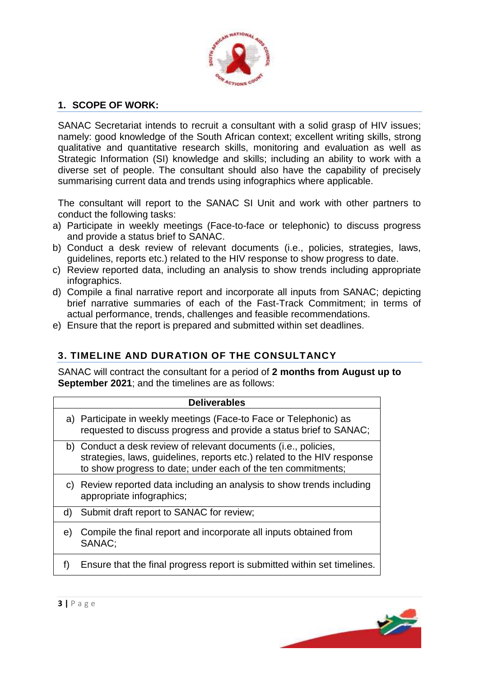

### **1. SCOPE OF WORK:**

SANAC Secretariat intends to recruit a consultant with a solid grasp of HIV issues; namely: good knowledge of the South African context; excellent writing skills, strong qualitative and quantitative research skills, monitoring and evaluation as well as Strategic Information (SI) knowledge and skills; including an ability to work with a diverse set of people. The consultant should also have the capability of precisely summarising current data and trends using infographics where applicable.

The consultant will report to the SANAC SI Unit and work with other partners to conduct the following tasks:

- a) Participate in weekly meetings (Face-to-face or telephonic) to discuss progress and provide a status brief to SANAC.
- b) Conduct a desk review of relevant documents (i.e., policies, strategies, laws, guidelines, reports etc.) related to the HIV response to show progress to date.
- c) Review reported data, including an analysis to show trends including appropriate infographics.
- d) Compile a final narrative report and incorporate all inputs from SANAC; depicting brief narrative summaries of each of the Fast-Track Commitment; in terms of actual performance, trends, challenges and feasible recommendations.
- e) Ensure that the report is prepared and submitted within set deadlines.

## **3. TIMELINE AND DURATION OF THE CONSULTANCY**

SANAC will contract the consultant for a period of **2 months from August up to September 2021**; and the timelines are as follows:

| <b>Deliverables</b> |                                                                                                                                                                                                            |
|---------------------|------------------------------------------------------------------------------------------------------------------------------------------------------------------------------------------------------------|
|                     | a) Participate in weekly meetings (Face-to Face or Telephonic) as<br>requested to discuss progress and provide a status brief to SANAC;                                                                    |
|                     | b) Conduct a desk review of relevant documents (i.e., policies,<br>strategies, laws, guidelines, reports etc.) related to the HIV response<br>to show progress to date; under each of the ten commitments; |
|                     | c) Review reported data including an analysis to show trends including<br>appropriate infographics;                                                                                                        |
| d)                  | Submit draft report to SANAC for review;                                                                                                                                                                   |
| e)                  | Compile the final report and incorporate all inputs obtained from<br>SANAC:                                                                                                                                |
|                     | Ensure that the final progress report is submitted within set timelines.                                                                                                                                   |

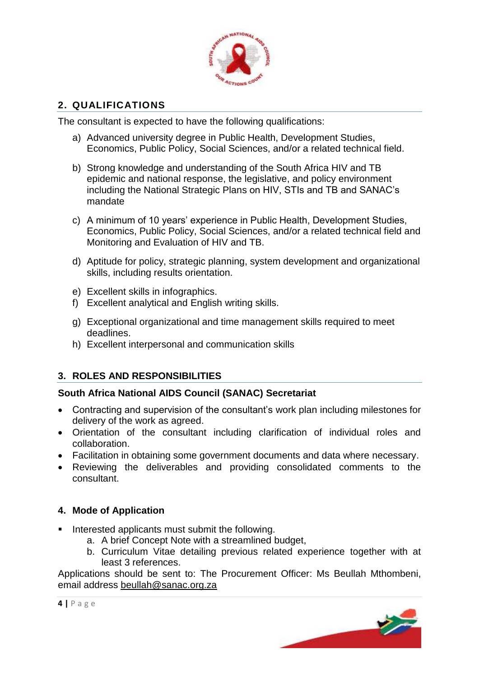

### **2. QUALIFICATIONS**

The consultant is expected to have the following qualifications:

- a) Advanced university degree in Public Health, Development Studies, Economics, Public Policy, Social Sciences, and/or a related technical field.
- b) Strong knowledge and understanding of the South Africa HIV and TB epidemic and national response, the legislative, and policy environment including the National Strategic Plans on HIV, STIs and TB and SANAC's mandate
- c) A minimum of 10 years' experience in Public Health, Development Studies, Economics, Public Policy, Social Sciences, and/or a related technical field and Monitoring and Evaluation of HIV and TB.
- d) Aptitude for policy, strategic planning, system development and organizational skills, including results orientation.
- e) Excellent skills in infographics.
- f) Excellent analytical and English writing skills.
- g) Exceptional organizational and time management skills required to meet deadlines.
- h) Excellent interpersonal and communication skills

### **3. ROLES AND RESPONSIBILITIES**

### **South Africa National AIDS Council (SANAC) Secretariat**

- Contracting and supervision of the consultant's work plan including milestones for delivery of the work as agreed.
- Orientation of the consultant including clarification of individual roles and collaboration.
- Facilitation in obtaining some government documents and data where necessary.
- Reviewing the deliverables and providing consolidated comments to the consultant.

### **4. Mode of Application**

- Interested applicants must submit the following.
	- a. A brief Concept Note with a streamlined budget,
	- b. Curriculum Vitae detailing previous related experience together with at least 3 references.

Applications should be sent to: The Procurement Officer: Ms Beullah Mthombeni, email address [beullah@sanac.org.za](mailto:beullah@sanac.org.za)